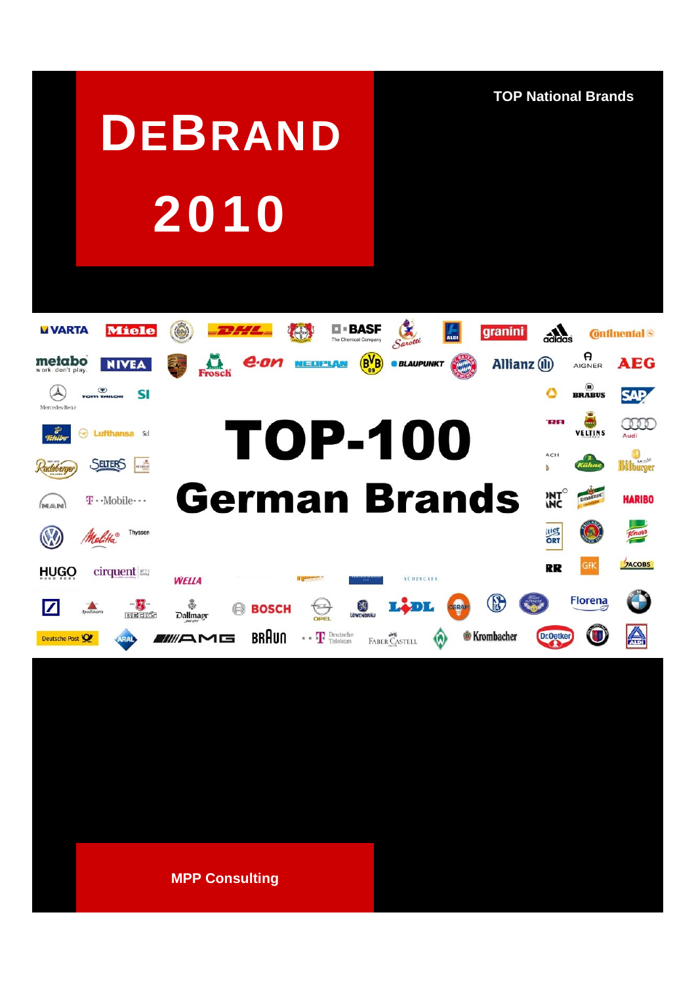**TOP National Brands**

# **DEBRAND** 2010



**MPP Consulting**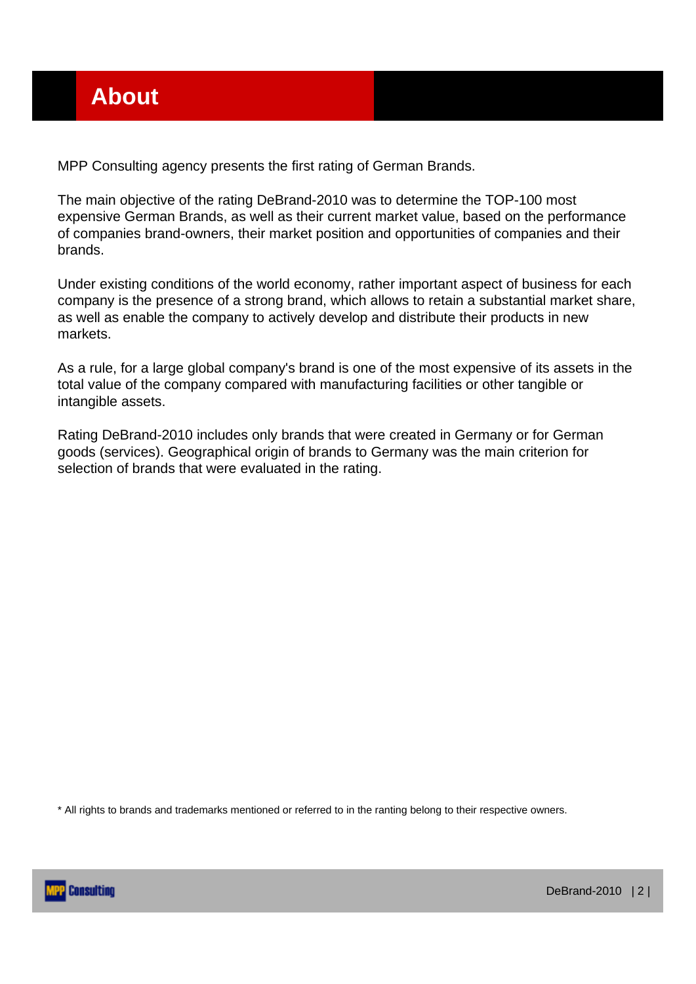MPP Consulting agency presents the first rating of German Brands.

The main objective of the rating DeBrand-2010 was to determine the TOP-100 most expensive German Brands, as well as their current market value, based on the performance of companies brand-owners, their market position and opportunities of companies and their brands.

Under existing conditions of the world economy, rather important aspect of business for each company is the presence of a strong brand, which allows to retain a substantial market share, as well as enable the company to actively develop and distribute their products in new markets.

As a rule, for a large global company's brand is one of the most expensive of its assets in the total value of the company compared with manufacturing facilities or other tangible or intangible assets.

Rating DeBrand-2010 includes only brands that were created in Germany or for German goods (services). Geographical origin of brands to Germany was the main criterion for selection of brands that were evaluated in the rating.

\* All rights to brands and trademarks mentioned or referred to in the ranting belong to their respective owners.

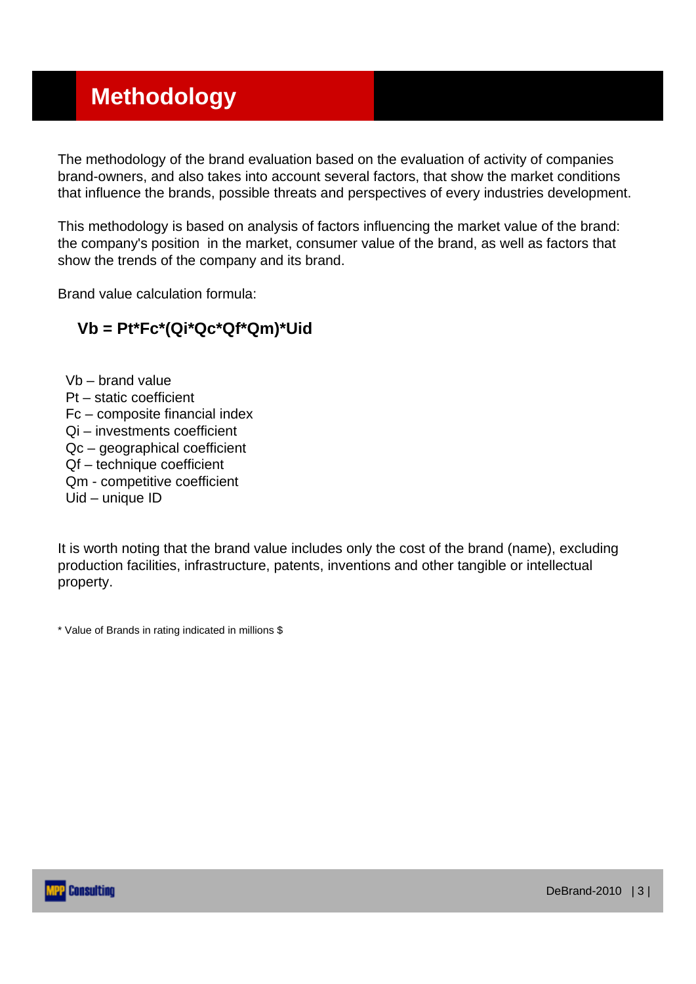#### **Methodology**

The methodology of the brand evaluation based on the evaluation of activity of companies brand-owners, and also takes into account several factors, that show the market conditions that influence the brands, possible threats and perspectives of every industries development.

This methodology is based on analysis of factors influencing the market value of the brand: the company's position in the market, consumer value of the brand, as well as factors that show the trends of the company and its brand.

Brand value calculation formula:

#### **Vb = Pt\*Fc\*(Qi\*Qc\*Qf\*Qm)\*Uid**

Vb – brand value Pt – static coefficient Fc – composite financial index Qi – investments coefficient Qc – geographical coefficient Qf – technique coefficient Qm - competitive coefficient Uid – unique ID

It is worth noting that the brand value includes only the cost of the brand (name), excluding production facilities, infrastructure, patents, inventions and other tangible or intellectual property.

\* Value of Brands in rating indicated in millions \$

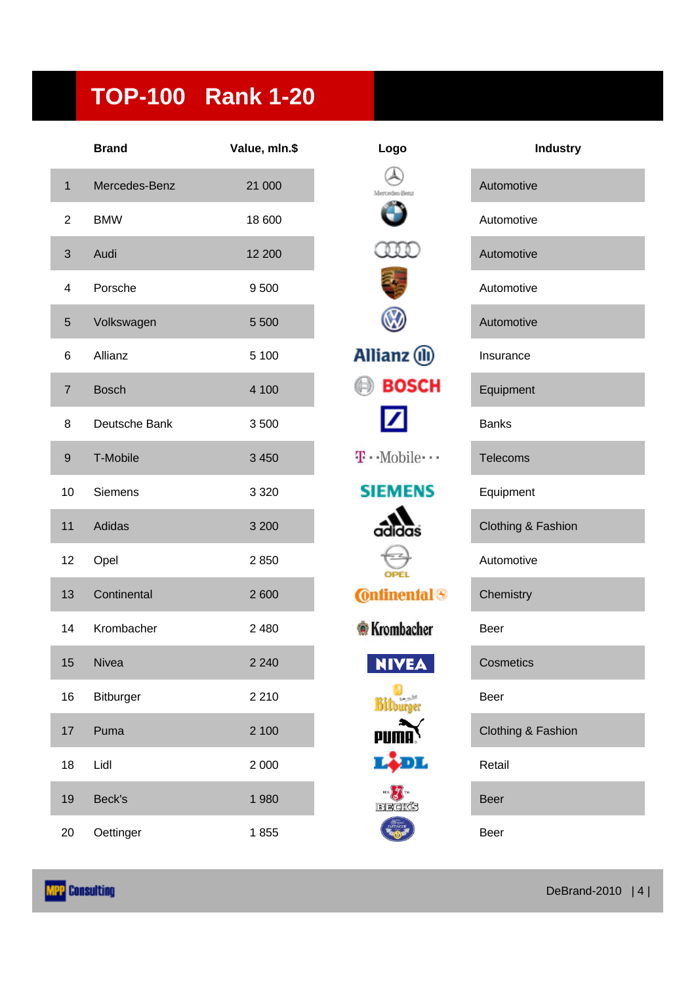# **TOP-100 Rank 1-20**

|                         | <b>Brand</b>     | Value, mln.\$ | Logo                                     | <b>Industry</b>    |
|-------------------------|------------------|---------------|------------------------------------------|--------------------|
| $\mathbf{1}$            | Mercedes-Benz    | 21 000        | Memwrter, Reno                           | Automotive         |
| $\overline{2}$          | <b>BMW</b>       | 18 600        |                                          | Automotive         |
| $\sqrt{3}$              | Audi             | 12 200        |                                          | Automotive         |
| $\overline{\mathbf{4}}$ | Porsche          | 9500          |                                          | Automotive         |
| $\sqrt{5}$              | Volkswagen       | 5 500         |                                          | Automotive         |
| 6                       | Allianz          | 5 100         | Allianz (ll)                             | Insurance          |
| $\overline{7}$          | <b>Bosch</b>     | 4 100         | <b>BOSCH</b>                             | Equipment          |
| 8                       | Deutsche Bank    | 3500          |                                          | <b>Banks</b>       |
| $\boldsymbol{9}$        | T-Mobile         | 3 4 5 0       | $\mathbf{T} \cdot \text{-Mobile} \cdots$ | <b>Telecoms</b>    |
| 10                      | <b>Siemens</b>   | 3 3 2 0       | <b>SIEMENS</b>                           | Equipment          |
| 11                      | Adidas           | 3 2 0 0       | adidas                                   | Clothing & Fashion |
| 12                      | Opel             | 2850          | <b>OPEL</b>                              | Automotive         |
| 13                      | Continental      | 2600          | <b>Continental</b> <sup>®</sup>          | Chemistry          |
| 14                      | Krombacher       | 2 4 8 0       | <b>Krombacher</b>                        | Beer               |
| 15                      | Nivea            | 2 2 4 0       | <b>NIVEA</b>                             | Cosmetics          |
| 16                      | <b>Bitburger</b> | 2 2 1 0       | <b>Bilburger</b>                         | Beer               |
| 17                      | Puma             | 2 100         |                                          | Clothing & Fashion |
| 18                      | Lidl             | 2 0 0 0       | Lidl                                     | Retail             |
| 19                      | Beck's           | 1980          | REG. TM.<br>BEGKS                        | <b>Beer</b>        |
| 20                      | Oettinger        | 1855          |                                          | Beer               |

| Logo                      | <b>Industry</b>    |
|---------------------------|--------------------|
| Mercedes-Benz             | Automotive         |
|                           | Automotive         |
|                           | Automotive         |
|                           | Automotive         |
|                           | Automotive         |
| Ilianz (II)               | Insurance          |
| <b>BOSCH</b>              | Equipment          |
|                           | <b>Banks</b>       |
| $\cdot$ -Mobile $\cdot$ - | <b>Telecoms</b>    |
| EMENS                     | Equipment          |
| $\alpha$ didas            | Clothing & Fashion |
|                           | Automotive         |
| <b>Onfinental</b>         | Chemistry          |
| <b>Krombacher</b>         | <b>Beer</b>        |
| <b>IVEA</b>               | Cosmetics          |
| <b>Bitburger</b>          | Beer               |
| piim                      | Clothing & Fashion |
|                           | Retail             |
| BECKS                     | Beer               |
| <b>King</b>               |                    |

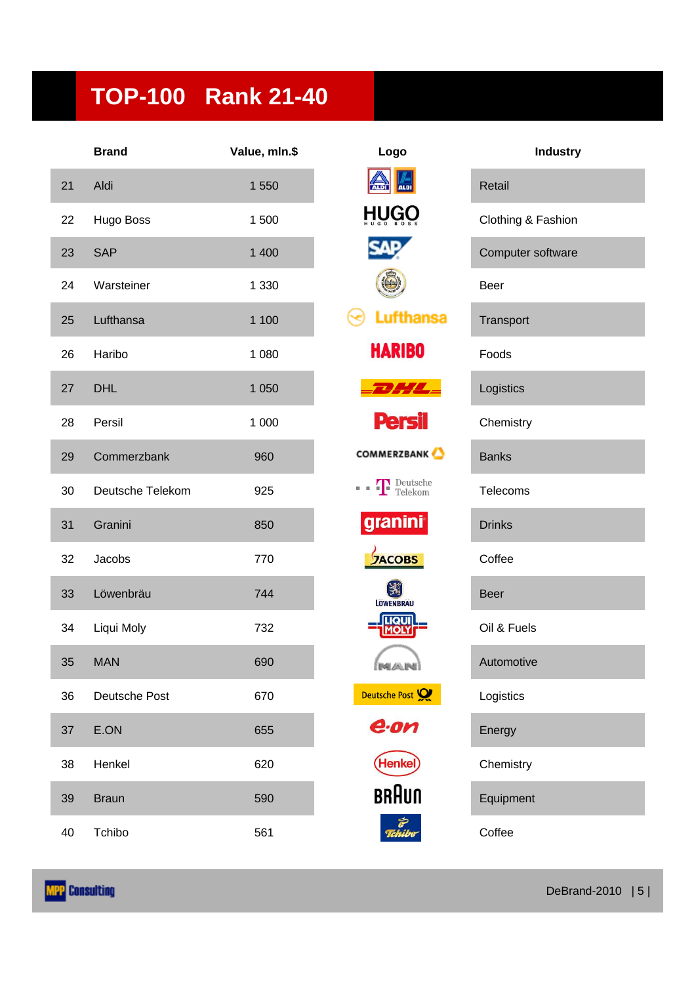# **TOP-100 Rank 21-40**

|    | <b>Brand</b>     | Value, mln.\$ | Logo                    | <b>Industry</b>    |
|----|------------------|---------------|-------------------------|--------------------|
| 21 | Aldi             | 1 550         | <b>ALDI</b>             | Retail             |
| 22 | Hugo Boss        | 1500          |                         | Clothing & Fashion |
| 23 | <b>SAP</b>       | 1 400         |                         | Computer software  |
| 24 | Warsteiner       | 1 3 3 0       |                         | Beer               |
| 25 | Lufthansa        | 1 100         | <b>Lufthansa</b>        | Transport          |
| 26 | Haribo           | 1 0 8 0       | <b>HARIBO</b>           | Foods              |
| 27 | <b>DHL</b>       | 1 0 5 0       |                         | Logistics          |
| 28 | Persil           | 1 0 0 0       | <b>Persil</b>           | Chemistry          |
| 29 | Commerzbank      | 960           | <b>COMMERZBANK</b>      | <b>Banks</b>       |
| 30 | Deutsche Telekom | 925           | <b>T</b> Deutsche<br>國國 | <b>Telecoms</b>    |
| 31 | Granini          | 850           | granini                 | <b>Drinks</b>      |
| 32 | Jacobs           | 770           | <b>JACOBS</b>           | Coffee             |
| 33 | Löwenbräu        | 744           | LÖWENBRÄU               | <b>Beer</b>        |
| 34 | Liqui Moly       | 732           | QU                      | Oil & Fuels        |
| 35 | <b>MAN</b>       | 690           | ímari                   | Automotive         |
| 36 | Deutsche Post    | 670           | Deutsche Post           | Logistics          |
| 37 | E.ON             | 655           | e.on                    | Energy             |
| 38 | Henkel           | 620           | Henke                   | Chemistry          |
| 39 | <b>Braun</b>     | 590           | <b>BRAUN</b>            | Equipment          |
| 40 | Tchibo           | 561           | e<br>Tchibo             | Coffee             |

| Logo                               |
|------------------------------------|
| A                                  |
| HNGO                               |
| S<br>Δ                             |
|                                    |
| Lufthansa                          |
| <b>HARIBO</b>                      |
|                                    |
| Persil                             |
| <b>COMMERZBANK</b>                 |
| <b>T</b> Deutsche                  |
| granini                            |
| $\frac{1}{2}$ AC<br><b>BS</b><br>c |
| LÖWENBRÄU                          |
| <b>LIQU<br/>MOLY</b>               |
|                                    |
| Deutsche Post                      |
| e.or                               |
| (Henkel)                           |
| BRAUN                              |
| Tchil                              |

| <b>Industry</b>    |
|--------------------|
| <b>Retail</b>      |
| Clothing & Fashion |
| Computer software  |
| Beer               |
| Transport          |
| Foods              |
| Logistics          |
| Chemistry          |
| <b>Banks</b>       |
| Telecoms           |
| <b>Drinks</b>      |
| Coffee             |
| Beer               |
| Oil & Fuels        |
| Automotive         |
| Logistics          |
| Energy             |
| Chemistry          |
| Equipment          |
| Coffee             |

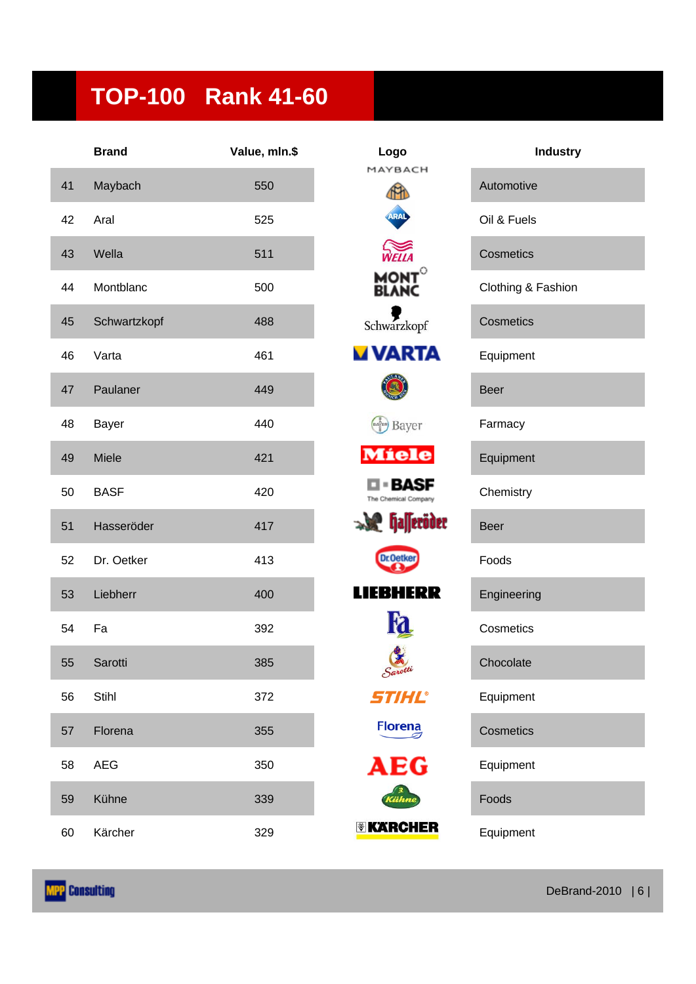## **TOP-100 Rank 41-60**

|    | <b>Brand</b> | Value, mln.\$ | Logo                     | Industry           |
|----|--------------|---------------|--------------------------|--------------------|
| 41 | Maybach      | 550           | MAYBACH<br>m             | Automotive         |
| 42 | Aral         | 525           | ARAL                     | Oil & Fuels        |
| 43 | Wella        | 511           | WELLA                    | Cosmetics          |
| 44 | Montblanc    | 500           | MONT<br><b>BLANC</b>     | Clothing & Fashion |
| 45 | Schwartzkopf | 488           | Schwarzkopf              | Cosmetics          |
| 46 | Varta        | 461           | <b>VARTA</b>             | Equipment          |
| 47 | Paulaner     | 449           |                          | <b>Beer</b>        |
| 48 | Bayer        | 440           | Bayer                    | Farmacy            |
| 49 | Miele        | 421           | <b>Miele</b>             | Equipment          |
| 50 | <b>BASF</b>  | 420           | BASF                     | Chemistry          |
| 51 | Hasseröder   | 417           | $\mathcal{L}$ falleröder | <b>Beer</b>        |
| 52 | Dr. Oetker   | 413           | <b>Dr.Oetker</b>         | Foods              |
| 53 | Liebherr     | 400           | HERR<br>ШE<br>в          | Engineering        |
| 54 | Fa           | 392           |                          | Cosmetics          |
| 55 | Sarotti      | 385           | Sarotti                  | Chocolate          |
| 56 | Stihl        | 372           | STIHL®                   | Equipment          |
| 57 | Florena      | 355           | <b>Florena</b>           | Cosmetics          |
| 58 | <b>AEG</b>   | 350           | AEG                      | Equipment          |
| 59 | Kühne        | 339           | Cühn                     | Foods              |
| 60 | Kärcher      | 329           | <b>EXARCHER</b>          | Equipment          |

| Logo                             | <b>Industr</b>     |  |
|----------------------------------|--------------------|--|
| MAYBACH<br><b>THA</b>            | Automotive         |  |
|                                  | Oil & Fuels        |  |
| WEILA                            | Cosmetics          |  |
| <b>MONT<br/>BLANC</b>            | Clothing & Fashior |  |
| schwarzkopf                      | <b>Cosmetics</b>   |  |
| <b>VARTA</b>                     | Equipment          |  |
|                                  | Beer               |  |
| Bayer                            | Farmacy            |  |
| Míele                            | Equipment          |  |
| I = BASF<br>The Chemical Company | Chemistry          |  |
| <b>P</b> halleröder              | Beer               |  |
| <b>Dr.Oetke</b>                  | Foods              |  |
| е                                | Engineering        |  |
|                                  | Cosmetics          |  |
| Sarotti                          | Chocolate          |  |
| STIHL®                           | Equipment          |  |
| Florena                          | Cosmetics          |  |
| AEG                              | Equipment          |  |
| Kühne                            | Foods              |  |
| KARCHER                          | Equipment          |  |

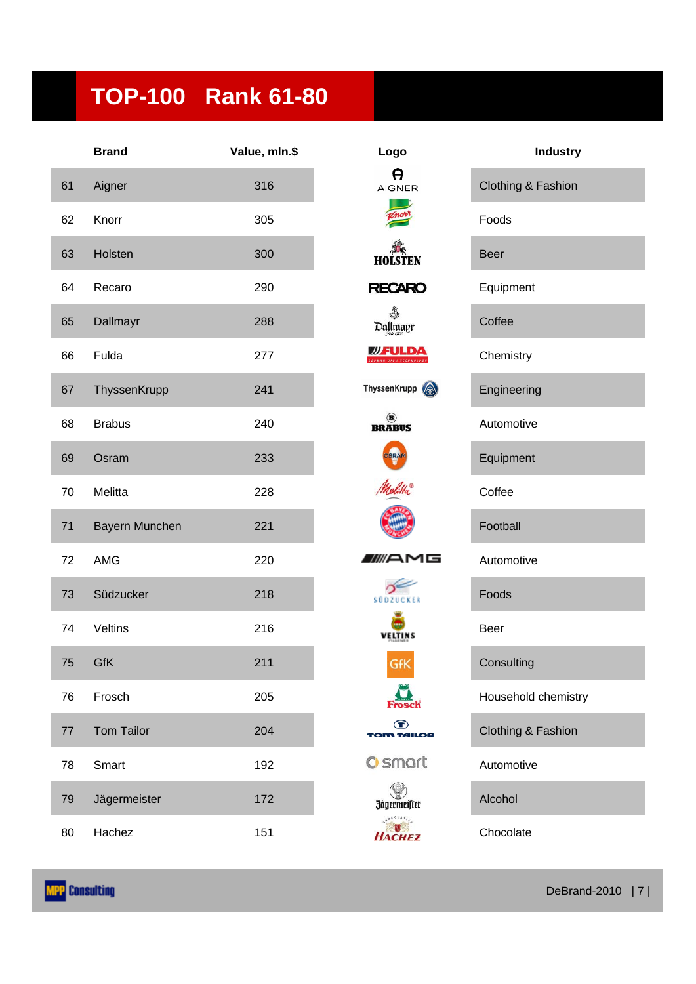### **TOP-100 Rank 61-80**

|    | <b>Brand</b>      | Value, mln.\$ | Logo                                 | <b>Industry</b>     |
|----|-------------------|---------------|--------------------------------------|---------------------|
| 61 | Aigner            | 316           | A<br><b>AIGNER</b>                   | Clothing & Fashion  |
| 62 | Knorr             | 305           |                                      | Foods               |
| 63 | Holsten           | 300           | <b>HOLSTEN</b>                       | <b>Beer</b>         |
| 64 | Recaro            | 290           | <b>RECARO</b>                        | Equipment           |
| 65 | Dallmayr          | 288           | ♣<br>Dallmayr                        | Coffee              |
| 66 | Fulda             | 277           | <b>WFULDA</b>                        | Chemistry           |
| 67 | ThyssenKrupp      | 241           | ThyssenKrupp (                       | Engineering         |
| 68 | <b>Brabus</b>     | 240           | <b>BRABUS</b>                        | Automotive          |
| 69 | Osram             | 233           | OSRAM                                | Equipment           |
| 70 | Melitta           | 228           |                                      | Coffee              |
| 71 | Bayern Munchen    | 221           |                                      | Football            |
| 72 | AMG               | 220           | WAMG                                 | Automotive          |
| 73 | Südzucker         | 218           | SÜDZUCKER                            | Foods               |
| 74 | Veltins           | 216           | VELTINS                              | <b>Beer</b>         |
| 75 | GfK               | 211           | <b>GfK</b>                           | Consulting          |
| 76 | Frosch            | 205           |                                      | Household chemistry |
| 77 | <b>Tom Tailor</b> | 204           | $\bf \bm \odot$<br><b>TOM TAILOR</b> | Clothing & Fashion  |
| 78 | Smart             | 192           | <b>C</b> smart                       | Automotive          |
| 79 | Jägermeister      | 172           | Jägermeister                         | Alcohol             |
| 80 | Hachez            | 151           | HACHEZ                               | Chocolate           |

| ogo                                              | <b>Industry</b>     |
|--------------------------------------------------|---------------------|
| A<br><b>GNER</b>                                 | Clothing & Fashion  |
|                                                  | Foods               |
| disten                                           | <b>Beer</b>         |
| <b>CARO</b>                                      | Equipment           |
| llmayr<br><i>Alm</i> a                           | Coffee              |
| <b>FULDA</b>                                     | Chemistry           |
| enKrupp                                          | Engineering         |
| $\left( \textbf{B}\right)$<br><b>ABUS</b>        | Automotive          |
| SRAM                                             | Equipment           |
|                                                  | Coffee              |
|                                                  | Football            |
| 16<br>F                                          | Automotive          |
| DZUCKER                                          | Foods               |
| ELTINS                                           | Beer                |
| GfK                                              | Consulting          |
|                                                  | Household chemistry |
| $\bf \bf \Phi$<br><b>MILOR</b>                   | Clothing & Fashion  |
| smart                                            | Automotive          |
| germeifter                                       | Alcohol             |
| $e^{0.01 A T / \epsilon}$<br><i><b>ACHEZ</b></i> | Chocolate           |

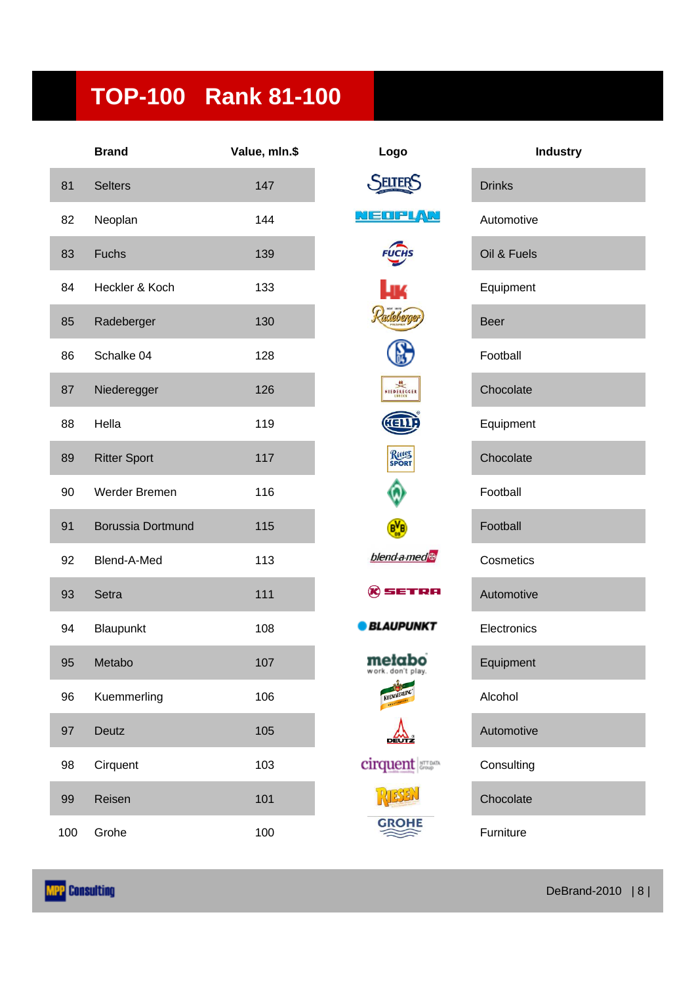### **TOP-100 Rank 81-100**

|     | <b>Brand</b>        | Value, mln.\$ | Logo                        | <b>Industry</b> |
|-----|---------------------|---------------|-----------------------------|-----------------|
| 81  | <b>Selters</b>      | 147           | <b>SELTER</b>               | <b>Drinks</b>   |
| 82  | Neoplan             | 144           | MEDFLAN                     | Automotive      |
| 83  | Fuchs               | 139           | <b>FUCHS</b>                | Oil & Fuels     |
| 84  | Heckler & Koch      | 133           | LJ 74                       | Equipment       |
| 85  | Radeberger          | 130           | adeberg                     | <b>Beer</b>     |
| 86  | Schalke 04          | 128           |                             | Football        |
| 87  | Niederegger         | 126           | NIEDEREGGER                 | Chocolate       |
| 88  | Hella               | 119           |                             | Equipment       |
| 89  | <b>Ritter Sport</b> | 117           | Ritter<br>SPORT             | Chocolate       |
| 90  | Werder Bremen       | 116           |                             | Football        |
| 91  | Borussia Dortmund   | 115           | $B_{\omega}^{V}B$           | Football        |
| 92  | Blend-A-Med         | 113           | blend a med                 | Cosmetics       |
| 93  | Setra               | 111           | $\mathcal R$ setra          | Automotive      |
| 94  | Blaupunkt           | 108           | <b>BLAUPUNKT</b>            | Electronics     |
| 95  | Metabo              | 107           | metabo<br>work. don't play. | Equipment       |
| 96  | Kuemmerling         | 106           | KUEMMERL                    | Alcohol         |
| 97  | Deutz               | 105           | <b>DEUTZ</b>                | Automotive      |
| 98  | Cirquent            | 103           | cirquent                    | Consulting      |
| 99  | Reisen              | 101           |                             | Chocolate       |
| 100 | Grohe               | 100           | <b>GROHE</b>                | Furniture       |

| Logo                                                  |
|-------------------------------------------------------|
| <b>SELTERS</b>                                        |
| $\sqrt{2}$<br>الكما<br>Ξ                              |
| FUCHS                                                 |
| LК<br>Radeberger)                                     |
| (A)                                                   |
| NIEDEREGGER                                           |
| HELLA                                                 |
| Ritter<br>SPORT                                       |
|                                                       |
| $\mathbf{B}$                                          |
| blend a med                                           |
| $\mathcal R$ setra                                    |
| BLAUPUNKT                                             |
| metabo<br>Of1<br>do<br>n<br>lay.<br>a.<br>KUEMMERLING |
|                                                       |
| <b>cirquent</b>                                       |
| RESEN                                                 |
| w                                                     |

| <b>Industry</b> |
|-----------------|
| <b>Drinks</b>   |
| Automotive      |
| Oil & Fuels     |
| Equipment       |
| <b>Beer</b>     |
| Football        |
| Chocolate       |
| Equipment       |
| Chocolate       |
| Football        |
| Football        |
| Cosmetics       |
| Automotive      |
| Electronics     |
| Equipment       |
| Alcohol         |
| Automotive      |
| Consulting      |
| Chocolate       |
| Furniture       |